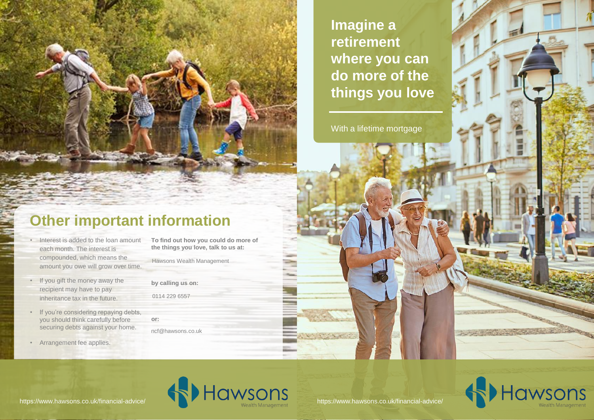**Imagine a retirement where you can do more of the things you love** 

With a lifetime mortgage

#### **Other important information**

- Interest is added to the loan amount each month. The interest is compounded, which means the amount you owe will grow over time.
- If you gift the money away the recipient may have to pay inheritance tax in the future.
- If you're considering repaying debts, you should think carefully before securing debts against your home.
- Arrangement fee applies.

**To find out how you could do more of the things you love, talk to us at:**

Hawsons Wealth Management

- **by calling us on:**  0114 229 6557
- **or:** ncf@hawsons.co.uk







Non-Confidential